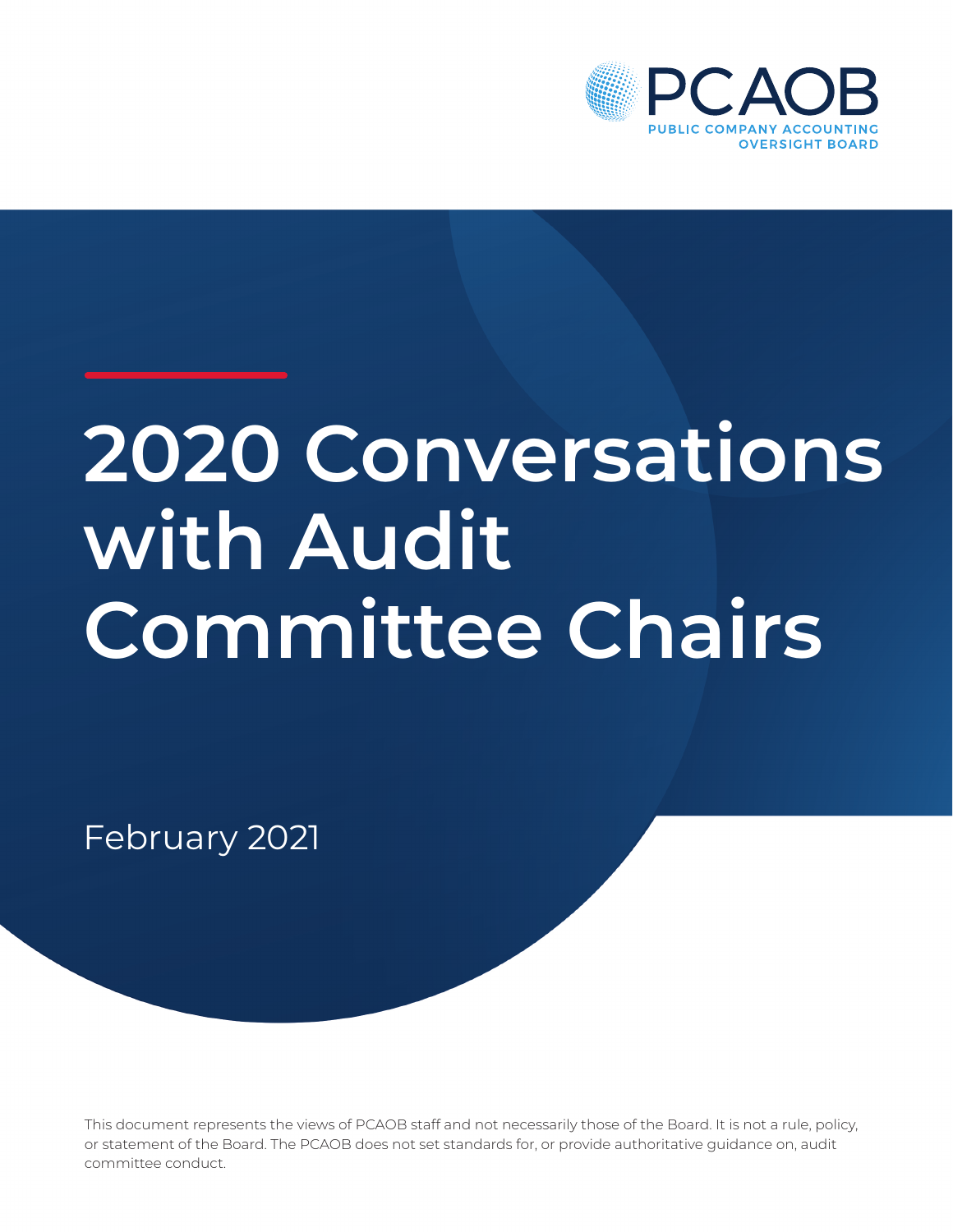

# **2020 Conversations with Audit Committee Chairs**

February 2021

This document represents the views of PCAOB staff and not necessarily those of the Board. It is not a rule, policy, or statement of the Board. The PCAOB does not set standards for, or provide authoritative guidance on, audit committee conduct.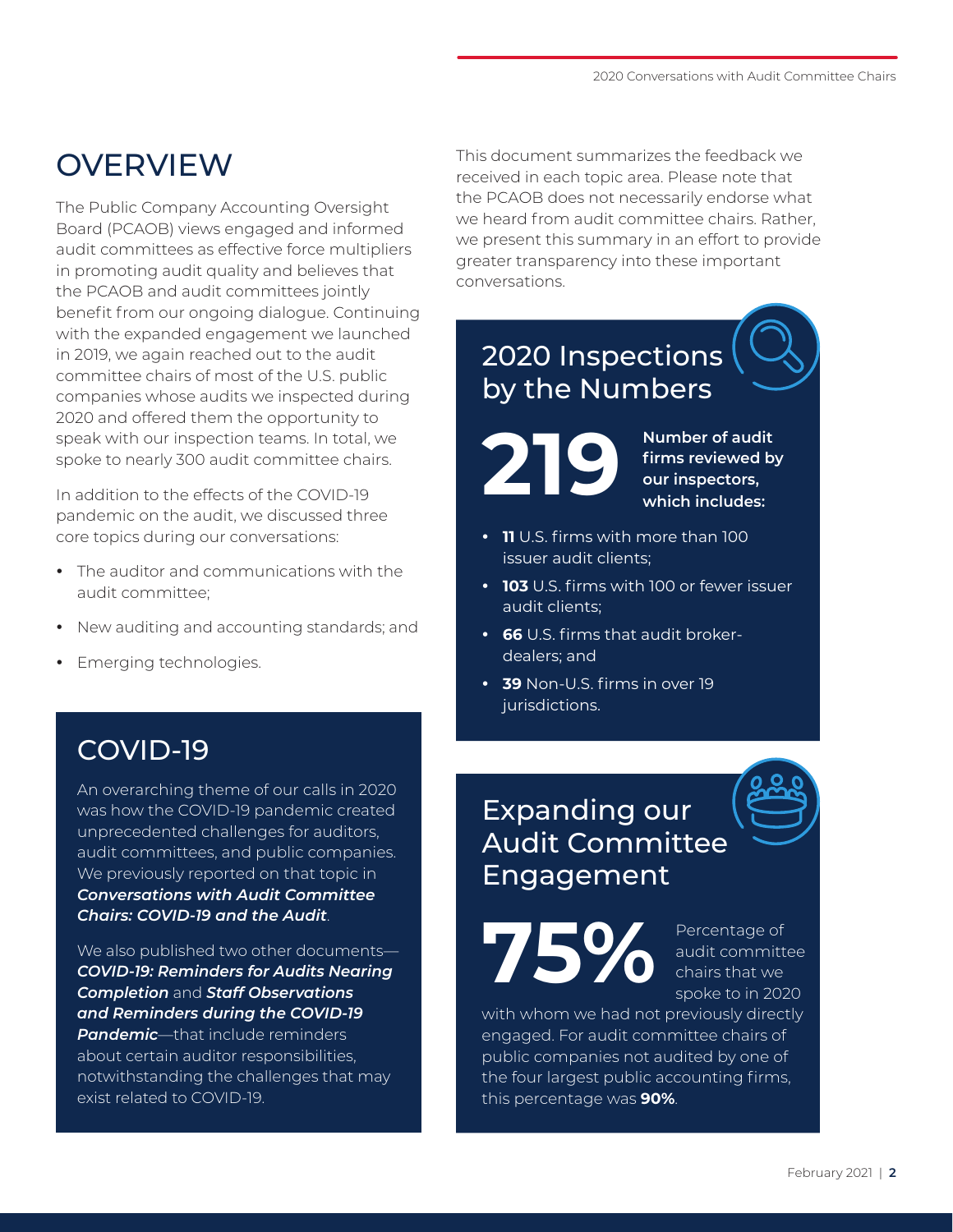# OVERVIEW

The Public Company Accounting Oversight Board (PCAOB) views engaged and informed audit committees as effective force multipliers in promoting audit quality and believes that the PCAOB and audit committees jointly benefit from our ongoing dialogue. Continuing with the expanded engagement we launched in 2019, we again reached out to the audit committee chairs of most of the U.S. public companies whose audits we inspected during 2020 and offered them the opportunity to speak with our inspection teams. In total, we spoke to nearly 300 audit committee chairs.

In addition to the effects of the COVID-19 pandemic on the audit, we discussed three core topics during our conversations:

- The auditor and communications with the audit committee;
- New auditing and accounting standards; and
- Emerging technologies.

### COVID-19

An overarching theme of our calls in 2020 was how the COVID-19 pandemic created unprecedented challenges for auditors, audit committees, and public companies. We previously reported on that topic in *[Conversations with Audit Committee](https://pcaobus.org/Documents/Conversations-with-Audit-Committee-Chairs-Covid.pdf)  [Chairs: COVID-19 and the Audit](https://pcaobus.org/Documents/Conversations-with-Audit-Committee-Chairs-Covid.pdf)*.

We also published two other documents— *[COVID-19: Reminders for Audits Nearing](https://pcaobus.org/Documents/COVID-19-Spotlight.pdf)  [Completion](https://pcaobus.org/Documents/COVID-19-Spotlight.pdf)* and *[Staff Observations](https://pcaob-assets.azureedge.net/pcaob-dev/docs/default-source/documents/staff-observations-reminders-covid-19-spotlight.pdf?sfvrsn=b14c0d8_6)  [and Reminders during the COVID-19](https://pcaob-assets.azureedge.net/pcaob-dev/docs/default-source/documents/staff-observations-reminders-covid-19-spotlight.pdf?sfvrsn=b14c0d8_6)  [Pandemic](https://pcaob-assets.azureedge.net/pcaob-dev/docs/default-source/documents/staff-observations-reminders-covid-19-spotlight.pdf?sfvrsn=b14c0d8_6)*—that include reminders about certain auditor responsibilities, notwithstanding the challenges that may exist related to COVID-19.

This document summarizes the feedback we received in each topic area. Please note that the PCAOB does not necessarily endorse what we heard from audit committee chairs. Rather, we present this summary in an effort to provide greater transparency into these important conversations.

## 2020 Inspections by the Numbers

**219**

**Number of audit firms reviewed by our inspectors, which includes:**

- **11** U.S. firms with more than 100 issuer audit clients;
- **103** U.S. firms with 100 or fewer issuer audit clients;
- **66** U.S. firms that audit brokerdealers; and
- $\cdot$  **39** Non-U.S. firms in over 19 jurisdictions.

## Expanding our Audit Committee Engagement

**75%**

Percentage of audit committee chairs that we spoke to in 2020

with whom we had not previously directly engaged. For audit committee chairs of public companies not audited by one of the four largest public accounting firms, this percentage was **90%**.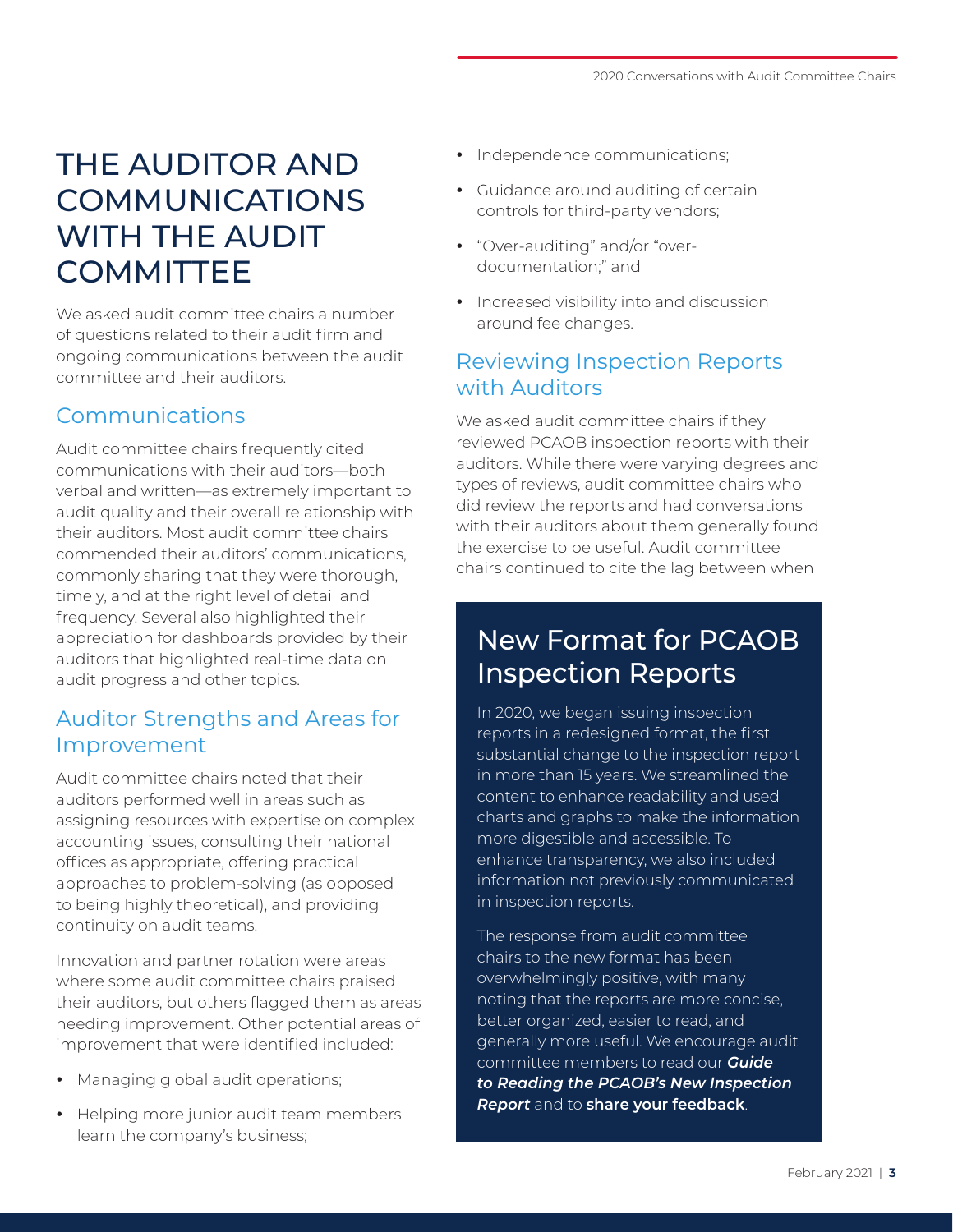# THE AUDITOR AND COMMUNICATIONS WITH THE AUDIT **COMMITTEE**

We asked audit committee chairs a number of questions related to their audit firm and ongoing communications between the audit committee and their auditors.

#### Communications

Audit committee chairs frequently cited communications with their auditors—both verbal and written—as extremely important to audit quality and their overall relationship with their auditors. Most audit committee chairs commended their auditors' communications, commonly sharing that they were thorough, timely, and at the right level of detail and frequency. Several also highlighted their appreciation for dashboards provided by their auditors that highlighted real-time data on audit progress and other topics.

#### Auditor Strengths and Areas for Improvement

Audit committee chairs noted that their auditors performed well in areas such as assigning resources with expertise on complex accounting issues, consulting their national offices as appropriate, offering practical approaches to problem-solving (as opposed to being highly theoretical), and providing continuity on audit teams.

Innovation and partner rotation were areas where some audit committee chairs praised their auditors, but others flagged them as areas needing improvement. Other potential areas of improvement that were identified included:

- Managing global audit operations;
- Helping more junior audit team members learn the company's business;
- Independence communications;
- Guidance around auditing of certain controls for third-party vendors;
- "Over-auditing" and/or "overdocumentation;" and
- Increased visibility into and discussion around fee changes.

#### Reviewing Inspection Reports with Auditors

We asked audit committee chairs if they reviewed PCAOB inspection reports with their auditors. While there were varying degrees and types of reviews, audit committee chairs who did review the reports and had conversations with their auditors about them generally found the exercise to be useful. Audit committee chairs continued to cite the lag between when

## New Format for PCAOB Inspection Reports

In 2020, we began issuing inspection reports in a redesigned format, the first substantial change to the inspection report in more than 15 years. We streamlined the content to enhance readability and used charts and graphs to make the information more digestible and accessible. To enhance transparency, we also included information not previously communicated in inspection reports.

The response from audit committee chairs to the new format has been overwhelmingly positive, with many noting that the reports are more concise, better organized, easier to read, and generally more useful. We encourage audit committee members to read our *[Guide](https://pcaobus.org/Inspections/Documents/Inspections-Report-Guide.pdf)  [to Reading the PCAOB's New Inspection](https://pcaobus.org/Inspections/Documents/Inspections-Report-Guide.pdf)  [Report](https://pcaobus.org/Inspections/Documents/Inspections-Report-Guide.pdf)* and to **[share your feedback](mailto:dwyere@pcaobus.org?subject=Inspection%20Report%20Feedback)**.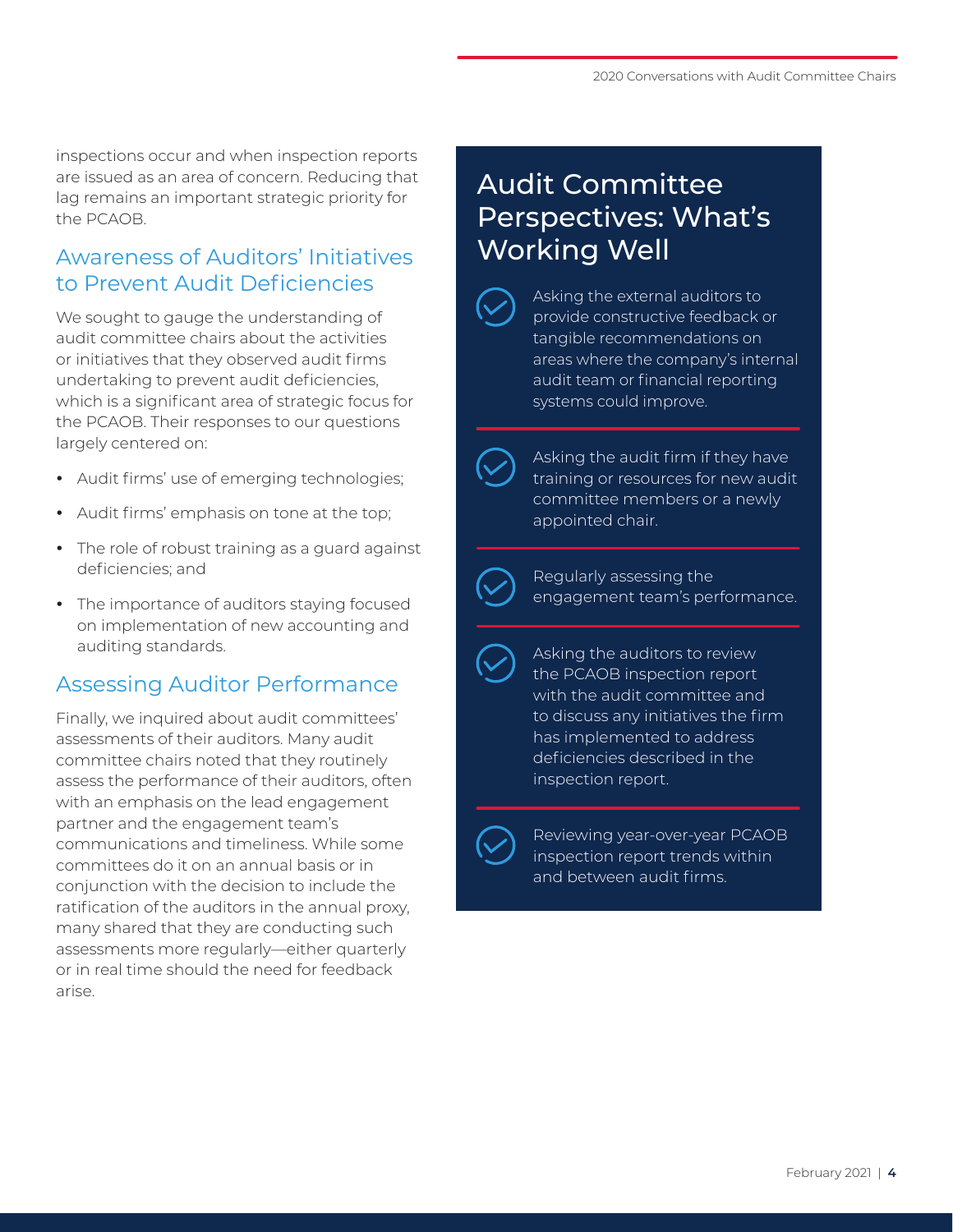inspections occur and when inspection reports are issued as an area of concern. Reducing that lag remains an important strategic priority for the PCAOB.

#### Awareness of Auditors' Initiatives to Prevent Audit Deficiencies

We sought to gauge the understanding of audit committee chairs about the activities or initiatives that they observed audit firms undertaking to prevent audit deficiencies, which is a significant area of strategic focus for the PCAOB. Their responses to our questions largely centered on:

- Audit firms' use of emerging technologies;
- Audit firms' emphasis on tone at the top;
- The role of robust training as a guard against deficiencies; and
- The importance of auditors staying focused on implementation of new accounting and auditing standards.

#### Assessing Auditor Performance

Finally, we inquired about audit committees' assessments of their auditors. Many audit committee chairs noted that they routinely assess the performance of their auditors, often with an emphasis on the lead engagement partner and the engagement team's communications and timeliness. While some committees do it on an annual basis or in conjunction with the decision to include the ratification of the auditors in the annual proxy, many shared that they are conducting such assessments more regularly—either quarterly or in real time should the need for feedback arise.

## Audit Committee Perspectives: What's Working Well

Asking the external auditors to provide constructive feedback or tangible recommendations on areas where the company's internal audit team or financial reporting systems could improve.

Asking the audit firm if they have training or resources for new audit committee members or a newly appointed chair.

Regularly assessing the engagement team's performance.

Asking the auditors to review the PCAOB inspection report with the audit committee and to discuss any initiatives the firm has implemented to address deficiencies described in the inspection report.

Reviewing year-over-year PCAOB inspection report trends within and between audit firms.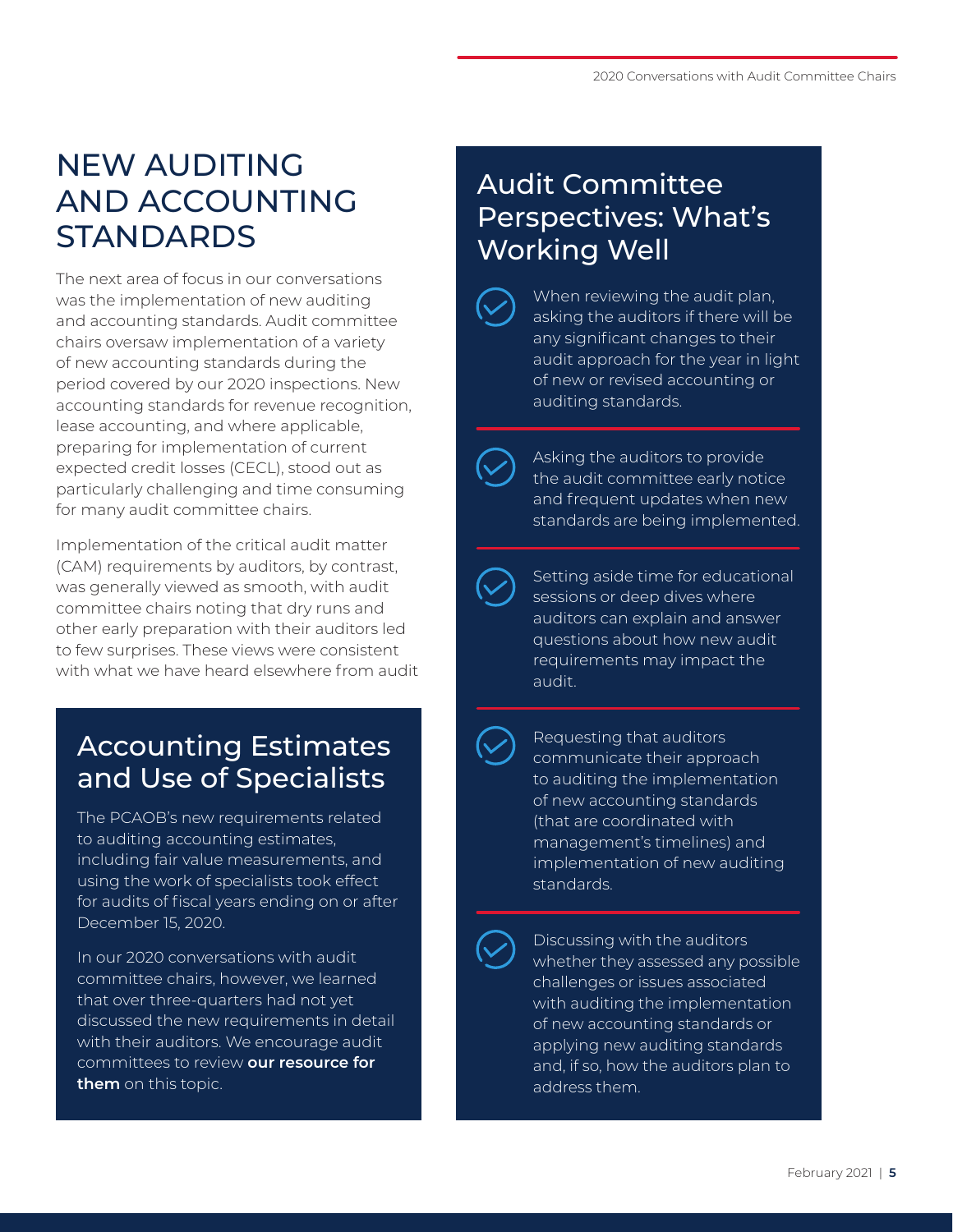# NEW AUDITING AND ACCOUNTING **STANDARDS**

The next area of focus in our conversations was the implementation of new auditing and accounting standards. Audit committee chairs oversaw implementation of a variety of new accounting standards during the period covered by our 2020 inspections. New accounting standards for revenue recognition, lease accounting, and where applicable, preparing for implementation of current expected credit losses (CECL), stood out as particularly challenging and time consuming for many audit committee chairs.

Implementation of the critical audit matter (CAM) requirements by auditors, by contrast, was generally viewed as smooth, with audit committee chairs noting that dry runs and other early preparation with their auditors led to few surprises. These views were consistent with what we have heard elsewhere from audit

## Accounting Estimates and Use of Specialists

The PCAOB's new requirements related to auditing accounting estimates, including fair value measurements, and using the work of specialists took effect for audits of fiscal years ending on or after December 15, 2020.

In our 2020 conversations with audit committee chairs, however, we learned that over three-quarters had not yet discussed the new requirements in detail with their auditors. We encourage audit committees to review **[our resource for](https://pcaobus.org/Documents/Audit-Committee-Resource-Estimates-Specialists.pdf)  [them](https://pcaobus.org/Documents/Audit-Committee-Resource-Estimates-Specialists.pdf)** on this topic.

## Audit Committee Perspectives: What's Working Well

When reviewing the audit plan, asking the auditors if there will be any significant changes to their audit approach for the year in light of new or revised accounting or auditing standards.

Asking the auditors to provide the audit committee early notice and frequent updates when new standards are being implemented.

Setting aside time for educational sessions or deep dives where auditors can explain and answer questions about how new audit requirements may impact the audit.

Requesting that auditors communicate their approach to auditing the implementation of new accounting standards (that are coordinated with management's timelines) and implementation of new auditing standards.

Discussing with the auditors whether they assessed any possible challenges or issues associated with auditing the implementation of new accounting standards or applying new auditing standards and, if so, how the auditors plan to address them.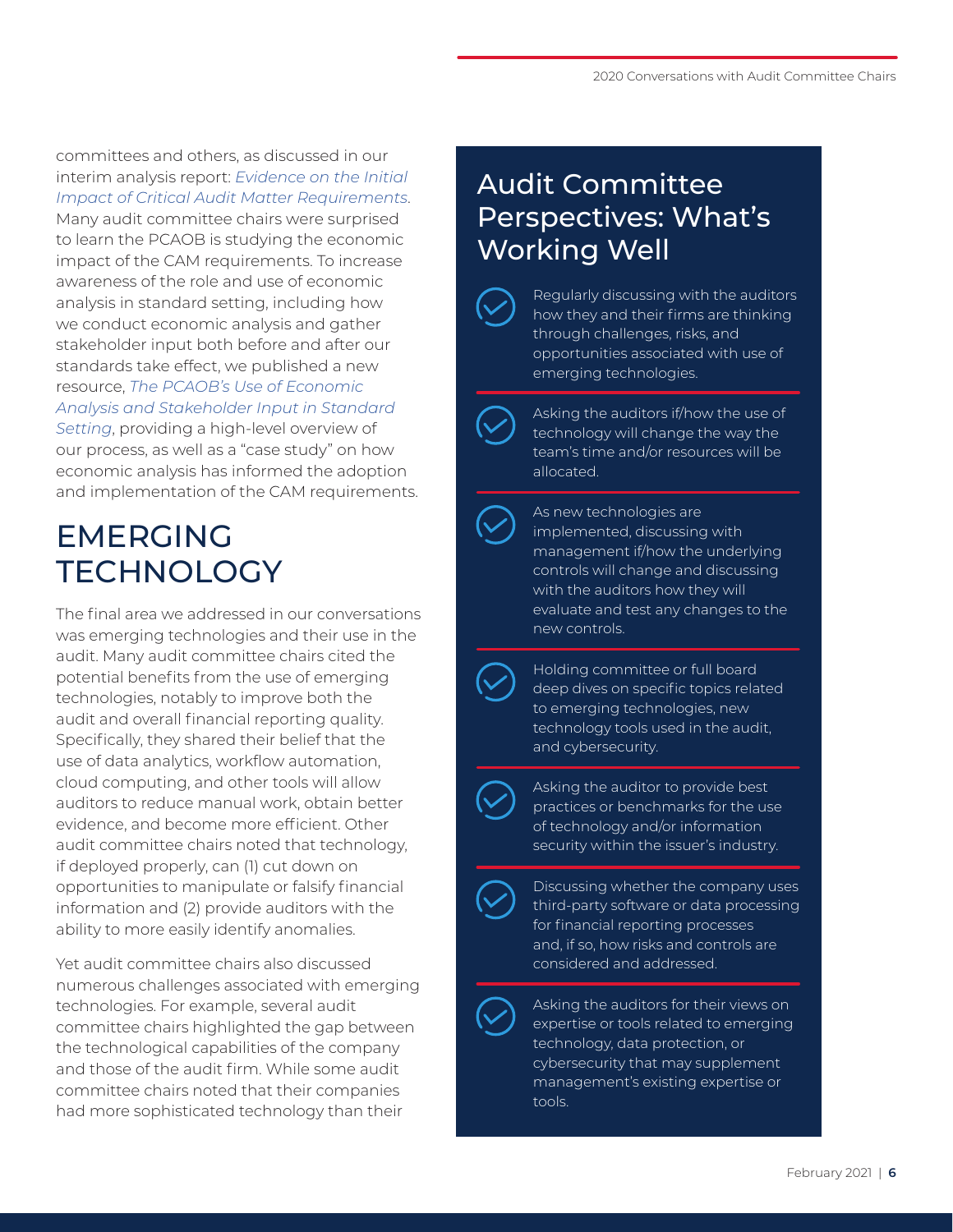committees and others, as discussed in our interim analysis report: *[Evidence on the Initial](https://pcaobus.org/EconomicAndRiskAnalysis/pir/Documents/ARM-Interim-Analysis-Report.pdf)  [Impact of Critical Audit Matter Requirements](https://pcaobus.org/EconomicAndRiskAnalysis/pir/Documents/ARM-Interim-Analysis-Report.pdf)*. Many audit committee chairs were surprised to learn the PCAOB is studying the economic impact of the CAM requirements. To increase awareness of the role and use of economic analysis in standard setting, including how we conduct economic analysis and gather stakeholder input both before and after our standards take effect, we published a new resource, *[The PCAOB's Use of Economic](https://pcaobus.org/Documents/PCAOB-Use-Economic-Analysis-Stakeholder-Spotlight.pdf)  [Analysis and Stakeholder Input in Standard](https://pcaobus.org/Documents/PCAOB-Use-Economic-Analysis-Stakeholder-Spotlight.pdf)  [Setting](https://pcaobus.org/Documents/PCAOB-Use-Economic-Analysis-Stakeholder-Spotlight.pdf)*, providing a high-level overview of our process, as well as a "case study" on how economic analysis has informed the adoption

and implementation of the CAM requirements.

# EMERGING **TECHNOLOGY**

The final area we addressed in our conversations was emerging technologies and their use in the audit. Many audit committee chairs cited the potential benefits from the use of emerging technologies, notably to improve both the audit and overall financial reporting quality. Specifically, they shared their belief that the use of data analytics, workflow automation, cloud computing, and other tools will allow auditors to reduce manual work, obtain better evidence, and become more efficient. Other audit committee chairs noted that technology, if deployed properly, can (1) cut down on opportunities to manipulate or falsify financial information and (2) provide auditors with the ability to more easily identify anomalies.

Yet audit committee chairs also discussed numerous challenges associated with emerging technologies. For example, several audit committee chairs highlighted the gap between the technological capabilities of the company and those of the audit firm. While some audit committee chairs noted that their companies had more sophisticated technology than their

## Audit Committee Perspectives: What's Working Well

Regularly discussing with the auditors how they and their firms are thinking through challenges, risks, and opportunities associated with use of emerging technologies.

Asking the auditors if/how the use of technology will change the way the team's time and/or resources will be allocated.

As new technologies are implemented, discussing with management if/how the underlying controls will change and discussing with the auditors how they will evaluate and test any changes to the new controls.

Holding committee or full board deep dives on specific topics related to emerging technologies, new technology tools used in the audit, and cybersecurity.

Asking the auditor to provide best practices or benchmarks for the use of technology and/or information security within the issuer's industry.



Discussing whether the company uses third-party software or data processing for financial reporting processes and, if so, how risks and controls are considered and addressed.



Asking the auditors for their views on expertise or tools related to emerging technology, data protection, or cybersecurity that may supplement management's existing expertise or tools.